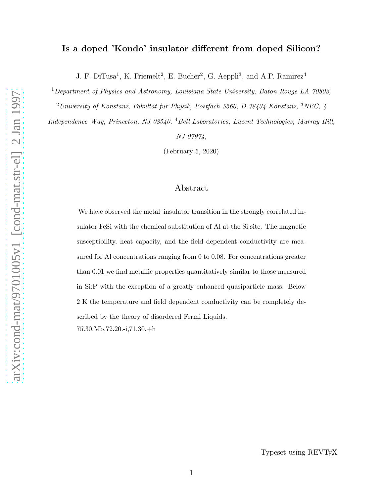## Is a doped 'Kondo' insulator different from doped Silicon?

J. F. DiTusa<sup>1</sup>, K. Friemelt<sup>2</sup>, E. Bucher<sup>2</sup>, G. Aeppli<sup>3</sup>, and A.P. Ramirez<sup>4</sup>

 $1$ Department of Physics and Astronomy, Louisiana State University, Baton Rouge LA 70803,  $^{2}$ University of Konstanz, Fakultat fur Physik, Postfach 5560, D-78434 Konstanz,  $^{3}$ NEC, 4

Independence Way, Princeton, NJ 08540, <sup>4</sup>Bell Laboratories, Lucent Technologies, Murray Hill, NJ 07974,

(February 5, 2020)

# Abstract

We have observed the metal–insulator transition in the strongly correlated insulator FeSi with the chemical substitution of Al at the Si site. The magnetic susceptibility, heat capacity, and the field dependent conductivity are measured for Al concentrations ranging from 0 to 0.08. For concentrations greater than 0.01 we find metallic properties quantitatively similar to those measured in Si:P with the exception of a greatly enhanced quasiparticle mass. Below 2 K the temperature and field dependent conductivity can be completely described by the theory of disordered Fermi Liquids. 75.30.Mb,72.20.-i,71.30.+h

Typeset using REVT<sub>F</sub>X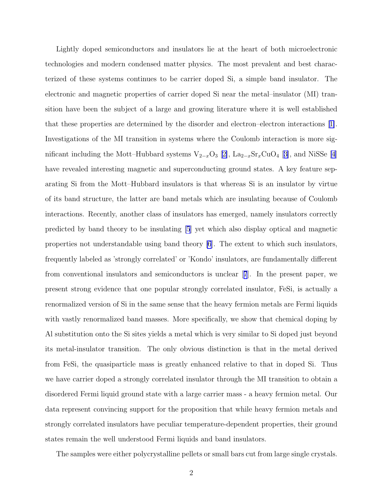Lightly doped semiconductors and insulators lie at the heart of both microelectronic technologies and modern condensed matter physics. The most prevalent and best characterized of these systems continues to be carrier doped Si, a simple band insulator. The electronic and magnetic properties of carrier doped Si near the metal–insulator (MI) transition have been the subject of a large and growing literature where it is well established that these properties are determined by the disorder and electron–electron interactions[[1\]](#page-7-0). Investigations of the MI transition in systems where the Coulomb interaction is more significant including the Mott–Hubbard systems  $V_{2-x}O_3$  [[2\]](#page-7-0), La<sub>2−x</sub>Sr<sub>x</sub>CuO<sub>4</sub> [[3\]](#page-7-0), and NiSSe [\[4\]](#page-7-0) have revealed interesting magnetic and superconducting ground states. A key feature separating Si from the Mott–Hubbard insulators is that whereas Si is an insulator by virtue of its band structure, the latter are band metals which are insulating because of Coulomb interactions. Recently, another class of insulators has emerged, namely insulators correctly predicted by band theory to be insulating [\[5](#page-7-0)] yet which also display optical and magnetic properties not understandable using band theory [\[6](#page-7-0)]. The extent to which such insulators, frequently labeled as 'strongly correlated' or 'Kondo' insulators, are fundamentally different from conventional insulators and semiconductors is unclear[[7](#page-7-0)]. In the present paper, we present strong evidence that one popular strongly correlated insulator, FeSi, is actually a renormalized version of Si in the same sense that the heavy fermion metals are Fermi liquids with vastly renormalized band masses. More specifically, we show that chemical doping by Al substitution onto the Si sites yields a metal which is very similar to Si doped just beyond its metal-insulator transition. The only obvious distinction is that in the metal derived from FeSi, the quasiparticle mass is greatly enhanced relative to that in doped Si. Thus we have carrier doped a strongly correlated insulator through the MI transition to obtain a disordered Fermi liquid ground state with a large carrier mass - a heavy fermion metal. Our data represent convincing support for the proposition that while heavy fermion metals and strongly correlated insulators have peculiar temperature-dependent properties, their ground states remain the well understood Fermi liquids and band insulators.

The samples were either polycrystalline pellets or small bars cut from large single crystals.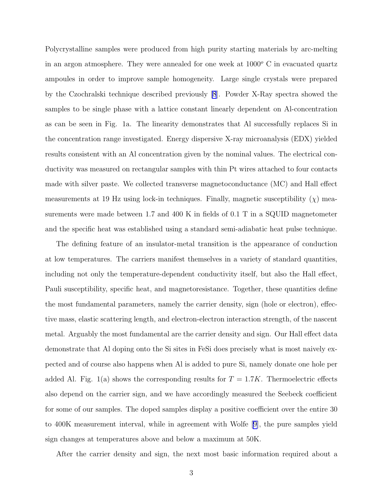Polycrystalline samples were produced from high purity starting materials by arc-melting in an argon atmosphere. They were annealed for one week at  $1000^{\circ}$  C in evacuated quartz ampoules in order to improve sample homogeneity. Large single crystals were prepared by the Czochralski technique described previously [\[8](#page-7-0)]. Powder X-Ray spectra showed the samples to be single phase with a lattice constant linearly dependent on Al-concentration as can be seen in Fig. 1a. The linearity demonstrates that Al successfully replaces Si in the concentration range investigated. Energy dispersive X-ray microanalysis (EDX) yielded results consistent with an Al concentration given by the nominal values. The electrical conductivity was measured on rectangular samples with thin Pt wires attached to four contacts made with silver paste. We collected transverse magnetoconductance (MC) and Hall effect measurements at 19 Hz using lock-in techniques. Finally, magnetic susceptibility  $(\chi)$  measurements were made between 1.7 and 400 K in fields of 0.1 T in a SQUID magnetometer and the specific heat was established using a standard semi-adiabatic heat pulse technique.

The defining feature of an insulator-metal transition is the appearance of conduction at low temperatures. The carriers manifest themselves in a variety of standard quantities, including not only the temperature-dependent conductivity itself, but also the Hall effect, Pauli susceptibility, specific heat, and magnetoresistance. Together, these quantities define the most fundamental parameters, namely the carrier density, sign (hole or electron), effective mass, elastic scattering length, and electron-electron interaction strength, of the nascent metal. Arguably the most fundamental are the carrier density and sign. Our Hall effect data demonstrate that Al doping onto the Si sites in FeSi does precisely what is most naively expected and of course also happens when Al is added to pure Si, namely donate one hole per added Al. Fig. 1(a) shows the corresponding results for  $T = 1.7K$ . Thermoelectric effects also depend on the carrier sign, and we have accordingly measured the Seebeck coefficient for some of our samples. The doped samples display a positive coefficient over the entire 30 to 400K measurement interval, while in agreement with Wolfe[[9\]](#page-7-0), the pure samples yield sign changes at temperatures above and below a maximum at 50K.

After the carrier density and sign, the next most basic information required about a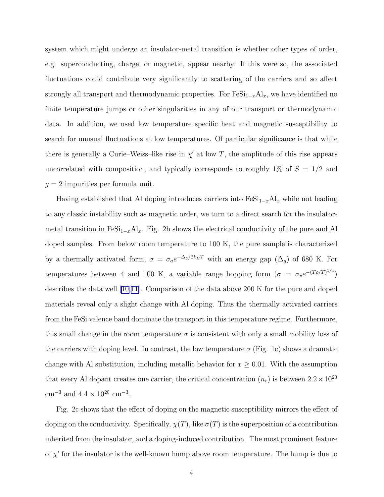system which might undergo an insulator-metal transition is whether other types of order, e.g. superconducting, charge, or magnetic, appear nearby. If this were so, the associated fluctuations could contribute very significantly to scattering of the carriers and so affect strongly all transport and thermodynamic properties. For  $\text{FeSi}_{1-x} \text{Al}_x$ , we have identified no finite temperature jumps or other singularities in any of our transport or thermodynamic data. In addition, we used low temperature specific heat and magnetic susceptibility to search for unusual fluctuations at low temperatures. Of particular significance is that while there is generally a Curie–Weiss–like rise in  $\chi'$  at low T, the amplitude of this rise appears uncorrelated with composition, and typically corresponds to roughly  $1\%$  of  $S = 1/2$  and  $g = 2$  impurities per formula unit.

Having established that Al doping introduces carriers into  $Fesi_{1-x}Al_x$  while not leading to any classic instability such as magnetic order, we turn to a direct search for the insulatormetal transition in FeSi<sub>1−x</sub>Al<sub>x</sub>. Fig. 2b shows the electrical conductivity of the pure and Al doped samples. From below room temperature to 100 K, the pure sample is characterized by a thermally activated form,  $\sigma = \sigma_a e^{-\Delta_g/2k_BT}$  with an energy gap  $(\Delta_g)$  of 680 K. For temperatures between 4 and 100 K, a variable range hopping form  $(\sigma = \sigma_v e^{-(T_o/T)^{1/4}})$ describes the data well[[10,11\]](#page-7-0). Comparison of the data above 200 K for the pure and doped materials reveal only a slight change with Al doping. Thus the thermally activated carriers from the FeSi valence band dominate the transport in this temperature regime. Furthermore, this small change in the room temperature  $\sigma$  is consistent with only a small mobility loss of the carriers with doping level. In contrast, the low temperature  $\sigma$  (Fig. 1c) shows a dramatic change with Al substitution, including metallic behavior for  $x \geq 0.01$ . With the assumption that every Al dopant creates one carrier, the critical concentration  $(n_c)$  is between  $2.2 \times 10^{20}$  $\text{cm}^{-3}$  and  $4.4 \times 10^{20} \text{ cm}^{-3}$ .

Fig. 2c shows that the effect of doping on the magnetic susceptibility mirrors the effect of doping on the conductivity. Specifically,  $\chi(T)$ , like  $\sigma(T)$  is the superposition of a contribution inherited from the insulator, and a doping-induced contribution. The most prominent feature of  $\chi'$  for the insulator is the well-known hump above room temperature. The hump is due to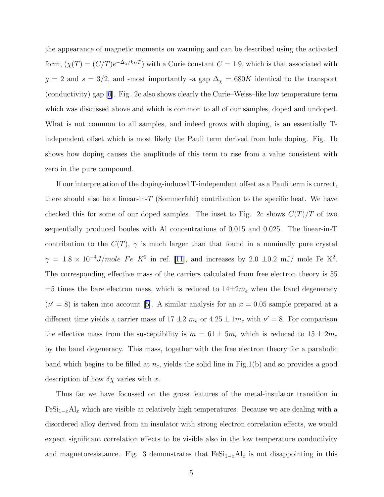the appearance of magnetic moments on warming and can be described using the activated form,  $(\chi(T) = (C/T)e^{-\Delta_{\chi}/k_BT})$  with a Curie constant  $C = 1.9$ , which is that associated with  $g = 2$  and  $s = 3/2$ , and -most importantly -a gap  $\Delta_{\chi} = 680K$  identical to the transport (conductivity) gap[[6\]](#page-7-0). Fig. 2c also shows clearly the Curie–Weiss–like low temperature term which was discussed above and which is common to all of our samples, doped and undoped. What is not common to all samples, and indeed grows with doping, is an essentially Tindependent offset which is most likely the Pauli term derived from hole doping. Fig. 1b shows how doping causes the amplitude of this term to rise from a value consistent with zero in the pure compound.

If our interpretation of the doping-induced T-independent offset as a Pauli term is correct, there should also be a linear-in- $T$  (Sommerfeld) contribution to the specific heat. We have checked this for some of our doped samples. The inset to Fig. 2c shows  $C(T)/T$  of two sequentially produced boules with Al concentrations of 0.015 and 0.025. The linear-in-T contribution to the  $C(T)$ ,  $\gamma$  is much larger than that found in a nominally pure crystal  $\gamma = 1.8 \times 10^{-4} \text{ J/mole}$  Fe K<sup>2</sup> in ref. [\[11](#page-7-0)], and increases by 2.0 ±0.2 mJ/ mole Fe K<sup>2</sup>. The corresponding effective mass of the carriers calculated from free electron theory is 55  $\pm 5$  times the bare electron mass, which is reduced to  $14\pm 2m_e$  when the band degeneracy  $(\nu' = 8)$  is taken into account [\[5\]](#page-7-0). A similar analysis for an  $x = 0.05$  sample prepared at a different time yields a carrier mass of  $17 \pm 2$   $m_e$  or  $4.25 \pm 1 m_e$  with  $\nu' = 8$ . For comparison the effective mass from the susceptibility is  $m = 61 \pm 5m_e$  which is reduced to  $15 \pm 2m_e$ by the band degeneracy. This mass, together with the free electron theory for a parabolic band which begins to be filled at  $n_c$ , yields the solid line in Fig.1(b) and so provides a good description of how  $\delta \chi$  varies with x.

Thus far we have focussed on the gross features of the metal-insulator transition in  $F\in \mathrm{Si}_{1-x}\mathrm{Al}_x$  which are visible at relatively high temperatures. Because we are dealing with a disordered alloy derived from an insulator with strong electron correlation effects, we would expect significant correlation effects to be visible also in the low temperature conductivity and magnetoresistance. Fig. 3 demonstrates that  $\text{FeSi}_{1-x} \text{Al}_x$  is not disappointing in this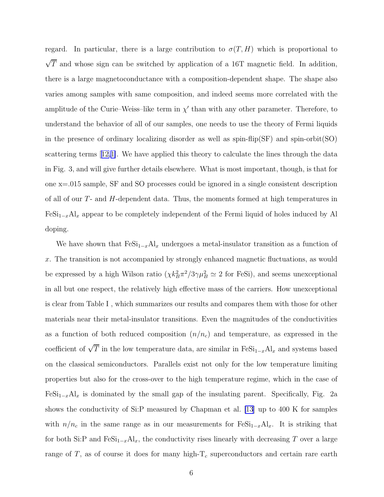regard. In particular, there is a large contribution to  $\sigma(T, H)$  which is proportional to  $\sqrt{T}$  and whose sign can be switched by application of a 16T magnetic field. In addition, there is a large magnetoconductance with a composition-dependent shape. The shape also varies among samples with same composition, and indeed seems more correlated with the amplitude of the Curie–Weiss–like term in  $\chi'$  than with any other parameter. Therefore, to understand the behavior of all of our samples, one needs to use the theory of Fermi liquids in the presence of ordinary localizing disorder as well as  $spin-flip(SF)$  and  $spin-orbit(SO)$ scattering terms[[12,1\]](#page-7-0). We have applied this theory to calculate the lines through the data in Fig. 3, and will give further details elsewhere. What is most important, though, is that for one x=.015 sample, SF and SO processes could be ignored in a single consistent description of all of our  $T$ - and  $H$ -dependent data. Thus, the moments formed at high temperatures in  $Fesi_{1-x}Al_x$  appear to be completely independent of the Fermi liquid of holes induced by Al doping.

We have shown that  $Fesi_{1-x}Al_x$  undergoes a metal-insulator transition as a function of x. The transition is not accompanied by strongly enhanced magnetic fluctuations, as would be expressed by a high Wilson ratio  $(\chi k_B^2 \pi^2/3\gamma \mu_B^2 \simeq 2$  for FeSi), and seems unexceptional in all but one respect, the relatively high effective mass of the carriers. How unexceptional is clear from Table I , which summarizes our results and compares them with those for other materials near their metal-insulator transitions. Even the magnitudes of the conductivities as a function of both reduced composition  $(n/n_c)$  and temperature, as expressed in the coefficient of  $\sqrt{T}$  in the low temperature data, are similar in  $\text{FeSi}_{1-x} \text{Al}_x$  and systems based on the classical semiconductors. Parallels exist not only for the low temperature limiting properties but also for the cross-over to the high temperature regime, which in the case of  $Fesi_{1-x}Al_x$  is dominated by the small gap of the insulating parent. Specifically, Fig. 2a shows the conductivity of Si:P measured by Chapman et al. [\[13](#page-8-0)] up to 400 K for samples with  $n/n_c$  in the same range as in our measurements for  $\text{FeSi}_{1-x} \text{Al}_x$ . It is striking that for both Si:P and FeSi<sub>1−x</sub>Al<sub>x</sub>, the conductivity rises linearly with decreasing T over a large range of T, as of course it does for many high- $T_c$  superconductors and certain rare earth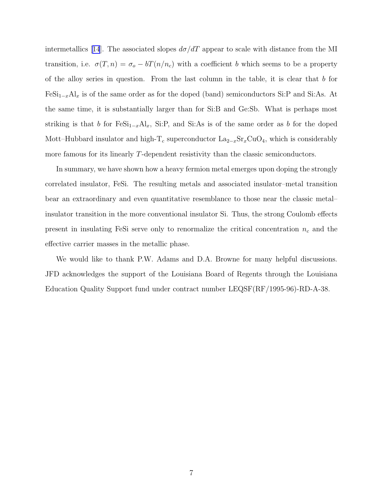intermetallics[[14](#page-8-0)]. The associated slopes  $d\sigma/dT$  appear to scale with distance from the MI transition, i.e.  $\sigma(T, n) = \sigma_o - bT(n/n_c)$  with a coefficient b which seems to be a property of the alloy series in question. From the last column in the table, it is clear that  $b$  for  $Fesi_{1-x}Al_x$  is of the same order as for the doped (band) semiconductors Si:P and Si:As. At the same time, it is substantially larger than for Si:B and Ge:Sb. What is perhaps most striking is that b for  $\text{FeSi}_{1-x}Al_x$ , Si:P, and Si:As is of the same order as b for the doped Mott–Hubbard insulator and high-T<sub>c</sub> superconductor  $\text{La}_{2-x}\text{Sr}_{x}\text{CuO}_{4}$ , which is considerably more famous for its linearly T-dependent resistivity than the classic semiconductors.

In summary, we have shown how a heavy fermion metal emerges upon doping the strongly correlated insulator, FeSi. The resulting metals and associated insulator–metal transition bear an extraordinary and even quantitative resemblance to those near the classic metal– insulator transition in the more conventional insulator Si. Thus, the strong Coulomb effects present in insulating FeSi serve only to renormalize the critical concentration  $n_c$  and the effective carrier masses in the metallic phase.

We would like to thank P.W. Adams and D.A. Browne for many helpful discussions. JFD acknowledges the support of the Louisiana Board of Regents through the Louisiana Education Quality Support fund under contract number LEQSF(RF/1995-96)-RD-A-38.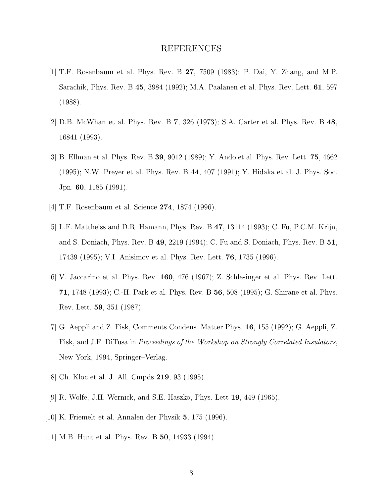## REFERENCES

- <span id="page-7-0"></span>[1] T.F. Rosenbaum et al. Phys. Rev. B 27, 7509 (1983); P. Dai, Y. Zhang, and M.P. Sarachik, Phys. Rev. B 45, 3984 (1992); M.A. Paalanen et al. Phys. Rev. Lett. 61, 597 (1988).
- [2] D.B. McWhan et al. Phys. Rev. B 7, 326 (1973); S.A. Carter et al. Phys. Rev. B 48, 16841 (1993).
- [3] B. Ellman et al. Phys. Rev. B 39, 9012 (1989); Y. Ando et al. Phys. Rev. Lett. 75, 4662 (1995); N.W. Preyer et al. Phys. Rev. B 44, 407 (1991); Y. Hidaka et al. J. Phys. Soc. Jpn. 60, 1185 (1991).
- [4] T.F. Rosenbaum et al. Science 274, 1874 (1996).
- [5] L.F. Mattheiss and D.R. Hamann, Phys. Rev. B 47, 13114 (1993); C. Fu, P.C.M. Krijn, and S. Doniach, Phys. Rev. B 49, 2219 (1994); C. Fu and S. Doniach, Phys. Rev. B 51, 17439 (1995); V.I. Anisimov et al. Phys. Rev. Lett. 76, 1735 (1996).
- [6] V. Jaccarino et al. Phys. Rev. 160, 476 (1967); Z. Schlesinger et al. Phys. Rev. Lett. 71, 1748 (1993); C.-H. Park et al. Phys. Rev. B 56, 508 (1995); G. Shirane et al. Phys. Rev. Lett. 59, 351 (1987).
- [7] G. Aeppli and Z. Fisk, Comments Condens. Matter Phys. 16, 155 (1992); G. Aeppli, Z. Fisk, and J.F. DiTusa in Proceedings of the Workshop on Strongly Correlated Insulators, New York, 1994, Springer–Verlag.
- [8] Ch. Kloc et al. J. All. Cmpds 219, 93 (1995).
- [9] R. Wolfe, J.H. Wernick, and S.E. Haszko, Phys. Lett 19, 449 (1965).
- [10] K. Friemelt et al. Annalen der Physik 5, 175 (1996).
- [11] M.B. Hunt et al. Phys. Rev. B 50, 14933 (1994).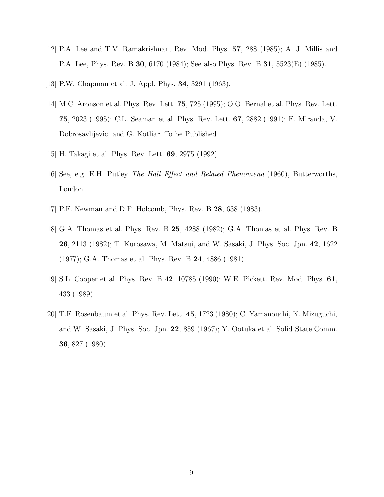- <span id="page-8-0"></span>[12] P.A. Lee and T.V. Ramakrishnan, Rev. Mod. Phys. 57, 288 (1985); A. J. Millis and P.A. Lee, Phys. Rev. B 30, 6170 (1984); See also Phys. Rev. B 31, 5523(E) (1985).
- [13] P.W. Chapman et al. J. Appl. Phys. 34, 3291 (1963).
- [14] M.C. Aronson et al. Phys. Rev. Lett. **75**, 725 (1995); O.O. Bernal et al. Phys. Rev. Lett. 75, 2023 (1995); C.L. Seaman et al. Phys. Rev. Lett. 67, 2882 (1991); E. Miranda, V. Dobrosavlijevic, and G. Kotliar. To be Published.
- [15] H. Takagi et al. Phys. Rev. Lett. 69, 2975 (1992).
- [16] See, e.g. E.H. Putley The Hall Effect and Related Phenomena (1960), Butterworths, London.
- [17] P.F. Newman and D.F. Holcomb, Phys. Rev. B 28, 638 (1983).
- [18] G.A. Thomas et al. Phys. Rev. B 25, 4288 (1982); G.A. Thomas et al. Phys. Rev. B 26, 2113 (1982); T. Kurosawa, M. Matsui, and W. Sasaki, J. Phys. Soc. Jpn. 42, 1622 (1977); G.A. Thomas et al. Phys. Rev. B 24, 4886 (1981).
- [19] S.L. Cooper et al. Phys. Rev. B 42, 10785 (1990); W.E. Pickett. Rev. Mod. Phys. 61, 433 (1989)
- [20] T.F. Rosenbaum et al. Phys. Rev. Lett. 45, 1723 (1980); C. Yamanouchi, K. Mizuguchi, and W. Sasaki, J. Phys. Soc. Jpn. 22, 859 (1967); Y. Ootuka et al. Solid State Comm. 36, 827 (1980).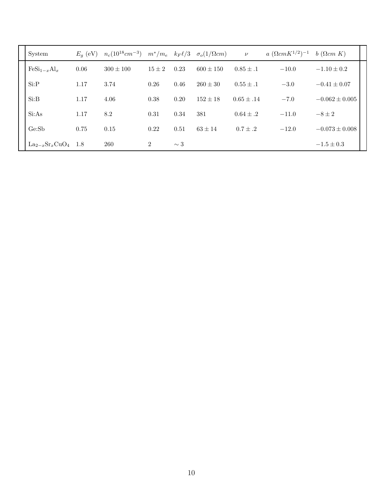| System                                       |      | $E_q$ (eV) $n_c(10^{18}cm^{-3})$ $m^*/m_e$ $k_F\ell/3$ $\sigma_o(1/\Omega cm)$ |          |          |               | $\nu$          | $a \ (\Omega cm K^{1/2})^{-1}$ | $b$ ( $\Omega$ <i>cm</i> $K$ ) |
|----------------------------------------------|------|--------------------------------------------------------------------------------|----------|----------|---------------|----------------|--------------------------------|--------------------------------|
| $\text{FeSi}_{1-x}\text{Al}_x$               | 0.06 | $300 \pm 100$                                                                  | $15 + 2$ | 0.23     | $600 \pm 150$ | $0.85 \pm .1$  | $-10.0$                        | $-1.10 \pm 0.2$                |
| Si:P                                         | 1.17 | 3.74                                                                           | 0.26     | 0.46     | $260 \pm 30$  | $0.55 \pm .1$  | $-3.0$                         | $-0.41 \pm 0.07$               |
| Si:B                                         | 1.17 | 4.06                                                                           | 0.38     | 0.20     | $152 \pm 18$  | $0.65 \pm .14$ | $-7.0$                         | $-0.062 \pm 0.005$             |
| Si:As                                        | 1.17 | 8.2                                                                            | 0.31     | 0.34     | 381           | $0.64 \pm .2$  | $-11.0$                        | $-8 \pm 2$                     |
| GeSb                                         | 0.75 | 0.15                                                                           | 0.22     | 0.51     | $63 \pm 14$   | $0.7 \pm .2$   | $-12.0$                        | $-0.073 \pm 0.008$             |
| $\text{La}_{2-x}\text{Sr}_x\text{CuO}_4$ 1.8 |      | 260                                                                            | 2        | $\sim$ 3 |               |                |                                | $-1.5 \pm 0.3$                 |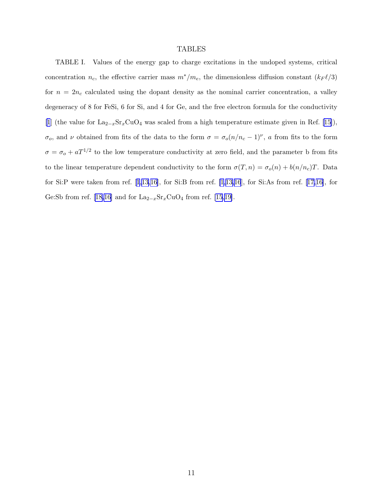### TABLES

TABLE I. Values of the energy gap to charge excitations in the undoped systems, critical concentration  $n_c$ , the effective carrier mass  $m^*/m_e$ , the dimensionless diffusion constant  $(k_F \ell/3)$ for  $n = 2n_c$  calculated using the dopant density as the nominal carrier concentration, a valley degeneracy of 8 for FeSi, 6 for Si, and 4 for Ge, and the free electron formula for the conductivity [\[1](#page-7-0)](the value for  $\text{La}_{2-x}\text{Sr}_x\text{CuO}_4$  was scaled from a high temperature estimate given in Ref. [[15\]](#page-8-0)),  $\sigma_o$ , and v obtained from fits of the data to the form  $\sigma = \sigma_o(n/n_c - 1)^\nu$ , a from fits to the form  $\sigma = \sigma_o + aT^{1/2}$  to the low temperature conductivity at zero field, and the parameter b from fits to the linear temperature dependent conductivity to the form  $\sigma(T, n) = \sigma_o(n) + b(n/n_c)T$ . Data forSi:P were taken from ref.  $[1,13,16]$  $[1,13,16]$  $[1,13,16]$ , for Si:B from ref.  $[1,13,16]$  $[1,13,16]$  $[1,13,16]$ , for Si:As from ref.  $[17,16]$  $[17,16]$ , for Ge:Sb from ref. [\[18,16\]](#page-8-0) and for  $\text{La}_{2-x}\text{Sr}_x\text{CuO}_4$  from ref. [\[15,19\]](#page-8-0).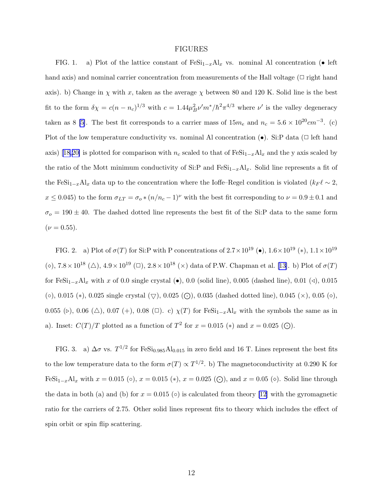#### FIGURES

FIG. 1. a) Plot of the lattice constant of  $\text{FeSi}_{1-x} \text{Al}_x$  vs. nominal Al concentration (• left hand axis) and nominal carrier concentration from measurements of the Hall voltage  $(\Box$  right hand axis). b) Change in  $\chi$  with x, taken as the average  $\chi$  between 80 and 120 K. Solid line is the best fit to the form  $\delta \chi = c(n - n_c)^{1/3}$  with  $c = 1.44 \mu_B^2 \nu' m^* / \hbar^2 \pi^{4/3}$  where  $\nu'$  is the valley degeneracy taken as 8 [\[5\]](#page-7-0). The best fit corresponds to a carrier mass of  $15m_e$  and  $n_c = 5.6 \times 10^{20} cm^{-3}$ . (c) Plot of the low temperature conductivity vs. nominal Al concentration  $(\bullet)$ . Si:P data ( $\Box$  left hand axis)[[18,20\]](#page-8-0) is plotted for comparison with  $n_c$  scaled to that of FeSi<sub>1−x</sub>Al<sub>x</sub> and the y axis scaled by the ratio of the Mott minimum conductivity of Si:P and  $Fesi_{1-x}Al_x$ . Solid line represents a fit of the FeSi<sub>1−x</sub>Al<sub>x</sub> data up to the concentration where the Ioffe–Regel condition is violated ( $k_F \ell \sim 2$ ,  $x \le 0.045$ ) to the form  $\sigma_{LT} = \sigma_o * (n/n_c - 1)^{\nu}$  with the best fit corresponding to  $\nu = 0.9 \pm 0.1$  and  $\sigma_o = 190 \pm 40$ . The dashed dotted line represents the best fit of the Si:P data to the same form  $(\nu = 0.55).$ 

FIG. 2. a) Plot of  $\sigma(T)$  for Si:P with P concentrations of  $2.7 \times 10^{19}$  ( $\bullet$ ),  $1.6 \times 10^{19}$  ( $\ast$ ),  $1.1 \times 10^{19}$ ( $\diamond$ ),  $7.8 \times 10^{18}$  ( $\triangle$ ),  $4.9 \times 10^{19}$  ( $\Box$ ),  $2.8 \times 10^{18}$  ( $\times$ ) data of P.W. Chapman et al. [\[13](#page-8-0)]. b) Plot of  $\sigma(T)$ for FeSi<sub>1−x</sub>Al<sub>x</sub> with x of 0.0 single crystal (•), 0.0 (solid line), 0.005 (dashed line), 0.01 (⊲), 0.015 (◦), 0.015 (∗), 0.025 single crystal  $(\nabla)$ , 0.025 (⊙), 0.035 (dashed dotted line), 0.045 (×), 0.05 (◇), 0.055 (⊳), 0.06 (△), 0.07 (+), 0.08 (□). c)  $\chi(T)$  for  $\text{FeSi}_{1-x}Al_x$  with the symbols the same as in a). Inset:  $C(T)/T$  plotted as a function of  $T^2$  for  $x = 0.015 (*)$  and  $x = 0.025 ...)$ .

FIG. 3. a)  $\Delta \sigma$  vs.  $T^{1/2}$  for FeSi<sub>0.985</sub>Al<sub>0.015</sub> in zero field and 16 T. Lines represent the best fits to the low temperature data to the form  $\sigma(T) \propto T^{1/2}$ . b) The magnetoconductivity at 0.290 K for FeSi<sub>1−x</sub>Al<sub>x</sub> with  $x = 0.015$  ( $\circ$ ),  $x = 0.015$  ( $\ast$ ),  $x = 0.025$  ( $\odot$ ), and  $x = 0.05$  ( $\circ$ ). Solid line through the data in both (a) and (b) for  $x = 0.015$  ( $\circ$ ) is calculated from theory [\[12](#page-7-0)] with the gyromagnetic ratio for the carriers of 2.75. Other solid lines represent fits to theory which includes the effect of spin orbit or spin flip scattering.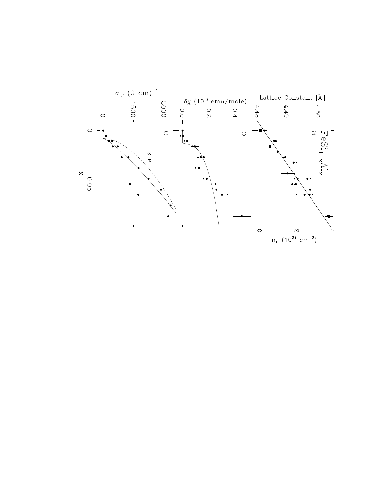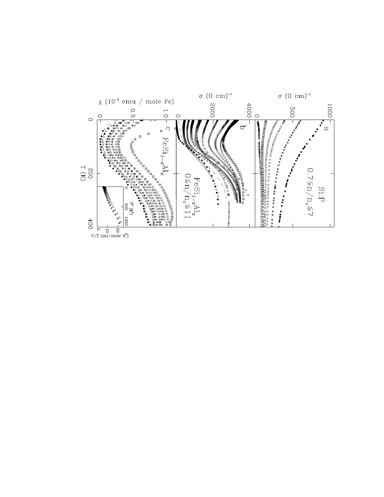